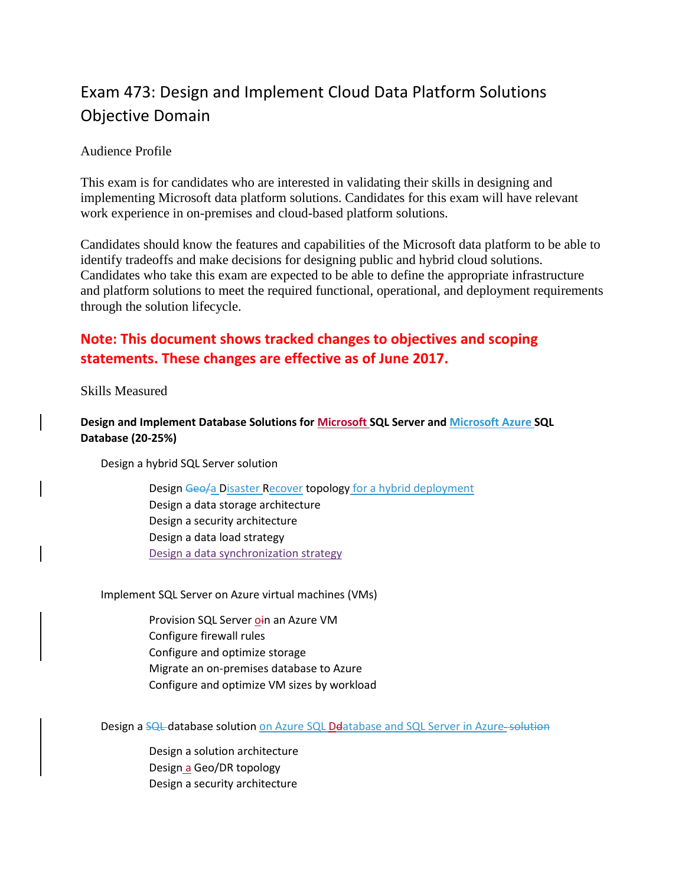# Exam 473: Design and Implement Cloud Data Platform Solutions Objective Domain

### Audience Profile

This exam is for candidates who are interested in validating their skills in designing and implementing Microsoft data platform solutions. Candidates for this exam will have relevant work experience in on-premises and cloud-based platform solutions.

Candidates should know the features and capabilities of the Microsoft data platform to be able to identify tradeoffs and make decisions for designing public and hybrid cloud solutions. Candidates who take this exam are expected to be able to define the appropriate infrastructure and platform solutions to meet the required functional, operational, and deployment requirements through the solution lifecycle.

## **Note: This document shows tracked changes to objectives and scoping statements. These changes are effective as of June 2017.**

Skills Measured

## **Design and Implement Database Solutions for Microsoft SQL Server and Microsoft Azure SQL Database (20-25%)**

Design a hybrid SQL Server solution

Design Geo/a Disaster Recover topology for a hybrid deployment Design a data storage architecture Design a security architecture Design a data load strategy Design a data synchronization strategy

Implement SQL Server on Azure virtual machines (VMs)

Provision SQL Server oin an Azure VM Configure firewall rules Configure and optimize storage Migrate an on-premises database to Azure Configure and optimize VM sizes by workload

Design a SQL database solution on Azure SQL Deatabase and SQL Server in Azure-solution

Design a solution architecture Design a Geo/DR topology Design a security architecture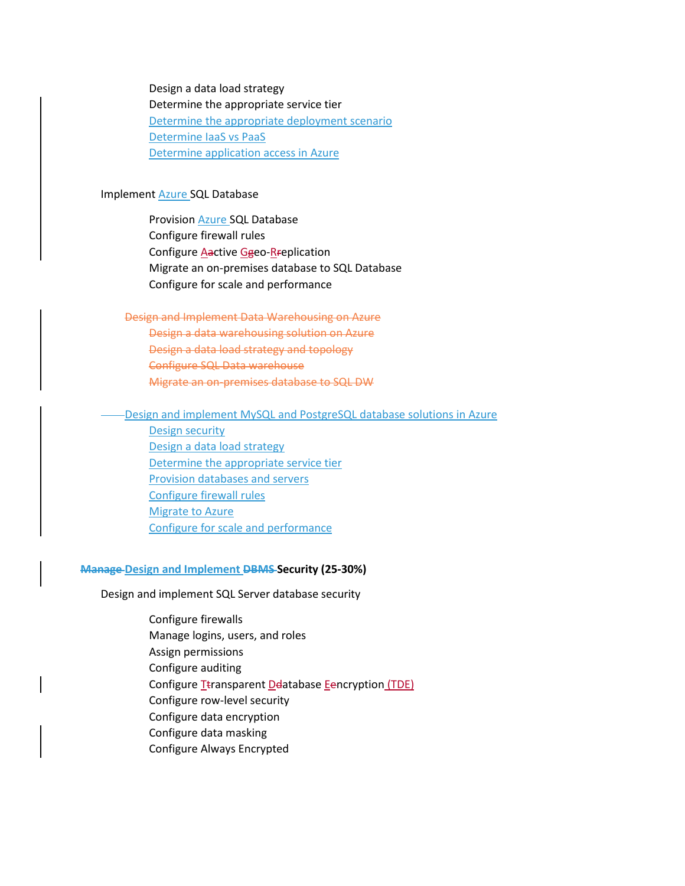Design a data load strategy Determine the appropriate service tier Determine the appropriate deployment scenario Determine IaaS vs PaaS Determine application access in Azure

#### Implement Azure SQL Database

Provision Azure SQL Database Configure firewall rules Configure **Aactive Ggeo-Rreplication** Migrate an on-premises database to SQL Database Configure for scale and performance

#### Design and Implement Data Warehousing on Azure

Design a data warehousing solution on Azure Design a data load strategy and topology Configure SQL Data warehouse Migrate an on-premises database to SQL DW

#### Design and implement MySQL and PostgreSQL database solutions in Azure

Design security Design a data load strategy Determine the appropriate service tier Provision databases and servers Configure firewall rules Migrate to Azure Configure for scale and performance

#### **Manage Design and Implement DBMS Security (25-30%)**

Design and implement SQL Server database security

Configure firewalls Manage logins, users, and roles Assign permissions Configure auditing Configure Ttransparent Deatabase Eencryption (TDE) Configure row-level security Configure data encryption Configure data masking Configure Always Encrypted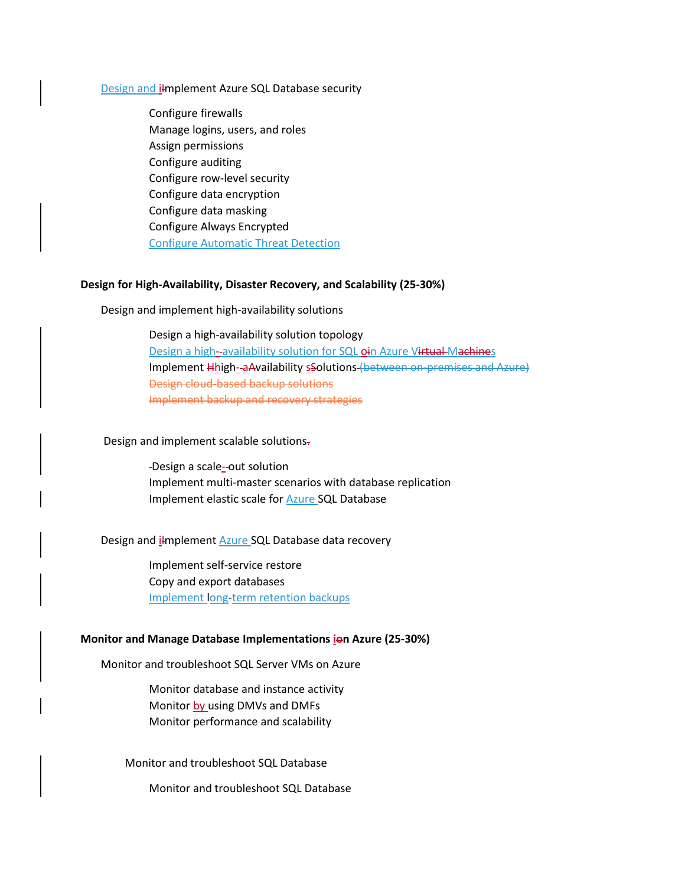#### Design and ilmplement Azure SQL Database security

Configure firewalls Manage logins, users, and roles Assign permissions Configure auditing Configure row-level security Configure data encryption Configure data masking Configure Always Encrypted Configure Automatic Threat Detection

#### **Design for High-Availability, Disaster Recovery, and Scalability (25-30%)**

Design and implement high-availability solutions

Design a high-availability solution topology Design a high--availability solution for SQL oin Azure Virtual Machines Implement Hhigh- aAvailability sSolutions (between on-premises and Azure) Design cloud-based backup solutions Implement backup and recovery strategies

Design and implement scalable solutions.

-Design a scale--out solution Implement multi-master scenarios with database replication Implement elastic scale for Azure SQL Database

Design and i<del>I</del>mplement Azure SQL Database data recovery

Implement self-service restore Copy and export databases Implement long-term retention backups

#### **Monitor and Manage Database Implementations ion Azure (25-30%)**

Monitor and troubleshoot SQL Server VMs on Azure

Monitor database and instance activity Monitor by using DMVs and DMFs Monitor performance and scalability

Monitor and troubleshoot SQL Database

Monitor and troubleshoot SQL Database